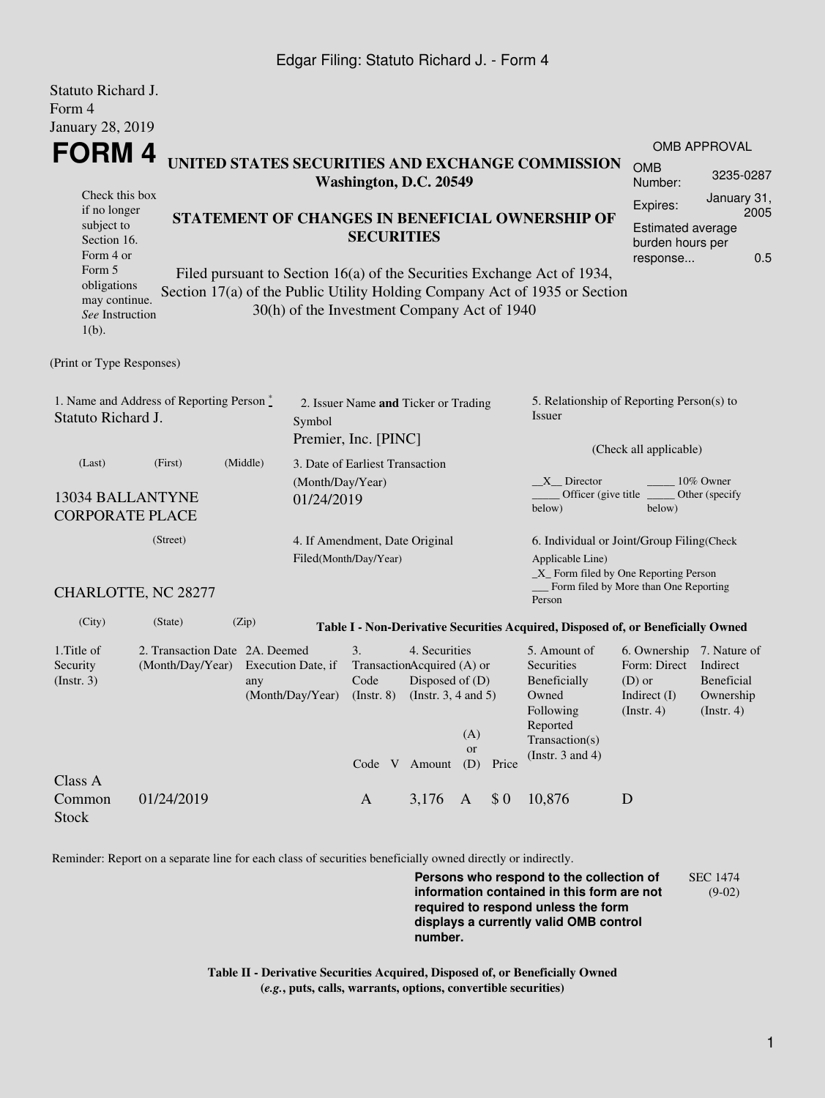#### Edgar Filing: Statuto Richard J. - Form 4

Statuto Richard J.

| Statuto Kienard J.<br>Form 4                                                                       |                                                           |                                                                                                                                                 |                                                                         |                                                         |                                                                                            |                     |                                                     |                                                                                                                                                     |                                                                                |                                                                         |  |
|----------------------------------------------------------------------------------------------------|-----------------------------------------------------------|-------------------------------------------------------------------------------------------------------------------------------------------------|-------------------------------------------------------------------------|---------------------------------------------------------|--------------------------------------------------------------------------------------------|---------------------|-----------------------------------------------------|-----------------------------------------------------------------------------------------------------------------------------------------------------|--------------------------------------------------------------------------------|-------------------------------------------------------------------------|--|
| <b>January 28, 2019</b><br><b>FORM4</b>                                                            |                                                           | UNITED STATES SECURITIES AND EXCHANGE COMMISSION<br>Washington, D.C. 20549                                                                      |                                                                         |                                                         |                                                                                            |                     |                                                     |                                                                                                                                                     |                                                                                | <b>OMB APPROVAL</b><br><b>OMB</b><br>3235-0287<br>Number:               |  |
| Check this box<br>if no longer<br>subject to<br>Section 16.<br>Form 4 or<br>Form 5                 |                                                           | STATEMENT OF CHANGES IN BENEFICIAL OWNERSHIP OF<br><b>SECURITIES</b><br>Filed pursuant to Section 16(a) of the Securities Exchange Act of 1934, |                                                                         |                                                         |                                                                                            |                     |                                                     |                                                                                                                                                     | Expires:<br>Estimated average<br>burden hours per<br>response                  | January 31,<br>2005<br>0.5                                              |  |
| obligations<br>may continue.<br>See Instruction<br>$1(b)$ .                                        |                                                           |                                                                                                                                                 | 30(h) of the Investment Company Act of 1940                             |                                                         |                                                                                            |                     |                                                     | Section 17(a) of the Public Utility Holding Company Act of 1935 or Section                                                                          |                                                                                |                                                                         |  |
| (Print or Type Responses)                                                                          |                                                           |                                                                                                                                                 |                                                                         |                                                         |                                                                                            |                     |                                                     |                                                                                                                                                     |                                                                                |                                                                         |  |
| 1. Name and Address of Reporting Person $\stackrel{*}{\mathbb{L}}$<br>Statuto Richard J.<br>Symbol |                                                           |                                                                                                                                                 | 2. Issuer Name and Ticker or Trading<br>Premier, Inc. [PINC]            |                                                         |                                                                                            |                     | 5. Relationship of Reporting Person(s) to<br>Issuer |                                                                                                                                                     |                                                                                |                                                                         |  |
| (Last)                                                                                             | (First)                                                   | (Middle)                                                                                                                                        | 3. Date of Earliest Transaction                                         |                                                         |                                                                                            |                     | (Check all applicable)                              |                                                                                                                                                     |                                                                                |                                                                         |  |
| 13034 BALLANTYNE<br><b>CORPORATE PLACE</b>                                                         |                                                           |                                                                                                                                                 | (Month/Day/Year)<br>01/24/2019                                          |                                                         |                                                                                            |                     |                                                     | $X$ Director<br>below)                                                                                                                              | 10% Owner<br>Officer (give title<br>Other (specify)<br>below)                  |                                                                         |  |
|                                                                                                    | (Street)                                                  |                                                                                                                                                 |                                                                         | 4. If Amendment, Date Original<br>Filed(Month/Day/Year) |                                                                                            |                     |                                                     | 6. Individual or Joint/Group Filing(Check<br>Applicable Line)<br>_X_ Form filed by One Reporting Person<br>__ Form filed by More than One Reporting |                                                                                |                                                                         |  |
| CHARLOTTE, NC 28277                                                                                |                                                           |                                                                                                                                                 |                                                                         |                                                         |                                                                                            |                     |                                                     | Person                                                                                                                                              |                                                                                |                                                                         |  |
| (City)                                                                                             | (State)                                                   | (Zip)                                                                                                                                           |                                                                         |                                                         |                                                                                            |                     |                                                     | Table I - Non-Derivative Securities Acquired, Disposed of, or Beneficially Owned                                                                    |                                                                                |                                                                         |  |
| 1. Title of<br>Security<br>(Insert. 3)                                                             | 2. Transaction Date 2A. Deemed<br>(Month/Day/Year)<br>any |                                                                                                                                                 | 3.<br>Execution Date, if<br>Code<br>(Month/Day/Year)<br>$($ Instr. $8)$ |                                                         | 4. Securities<br>TransactionAcquired (A) or<br>Disposed of (D)<br>(Instr. $3, 4$ and $5$ ) |                     |                                                     | 5. Amount of<br>Securities<br>Beneficially<br>Owned<br>Following<br>Reported                                                                        | 6. Ownership<br>Form: Direct<br>$(D)$ or<br>Indirect $(I)$<br>$($ Instr. 4 $)$ | 7. Nature of<br>Indirect<br>Beneficial<br>Ownership<br>$($ Instr. 4 $)$ |  |
|                                                                                                    |                                                           |                                                                                                                                                 |                                                                         |                                                         |                                                                                            | (A)<br><b>or</b>    |                                                     | Transaction(s)<br>(Instr. $3$ and $4$ )                                                                                                             |                                                                                |                                                                         |  |
| Class A<br>Common<br><b>Stock</b>                                                                  | 01/24/2019                                                |                                                                                                                                                 |                                                                         | Code V Amount<br>$\mathbf{A}$                           | 3,176                                                                                      | (D)<br>$\mathbf{A}$ | Price<br>\$0                                        | 10,876                                                                                                                                              | D                                                                              |                                                                         |  |

Reminder: Report on a separate line for each class of securities beneficially owned directly or indirectly.

**Persons who respond to the collection of information contained in this form are not required to respond unless the form displays a currently valid OMB control number.** SEC 1474 (9-02)

**Table II - Derivative Securities Acquired, Disposed of, or Beneficially Owned (***e.g.***, puts, calls, warrants, options, convertible securities)**